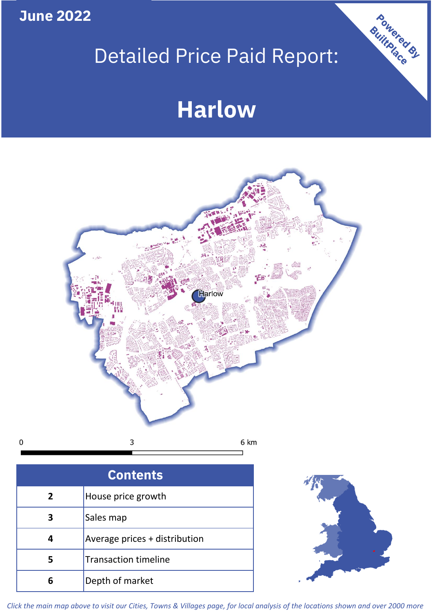**June 2022**

 $\mathbf 0$ 

# Detailed Price Paid Report:

# **Harlow**



| <b>Contents</b> |                               |  |  |
|-----------------|-------------------------------|--|--|
| $\overline{2}$  | House price growth            |  |  |
| 3               | Sales map                     |  |  |
| 4               | Average prices + distribution |  |  |
|                 | <b>Transaction timeline</b>   |  |  |
|                 | Depth of market               |  |  |



Powered By

*Click the main map above to visit our Cities, Towns & Villages page, for local analysis of the locations shown and over 2000 more*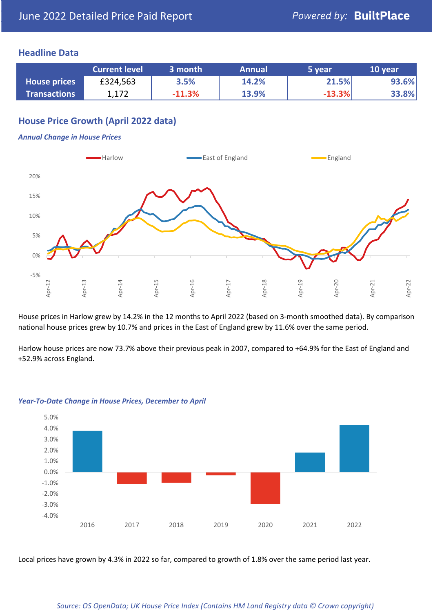### **Headline Data**

|                     | <b>Current level</b> | 3 month  | <b>Annual</b> | 5 year   | 10 year |
|---------------------|----------------------|----------|---------------|----------|---------|
| <b>House prices</b> | £324,563             | 3.5%     | 14.2%         | 21.5%    | 93.6%   |
| <b>Transactions</b> | 1,172                | $-11.3%$ | 13.9%         | $-13.3%$ | 33.8%   |

# **House Price Growth (April 2022 data)**

#### *Annual Change in House Prices*



House prices in Harlow grew by 14.2% in the 12 months to April 2022 (based on 3-month smoothed data). By comparison national house prices grew by 10.7% and prices in the East of England grew by 11.6% over the same period.

Harlow house prices are now 73.7% above their previous peak in 2007, compared to +64.9% for the East of England and +52.9% across England.



#### *Year-To-Date Change in House Prices, December to April*

Local prices have grown by 4.3% in 2022 so far, compared to growth of 1.8% over the same period last year.

#### *Source: OS OpenData; UK House Price Index (Contains HM Land Registry data © Crown copyright)*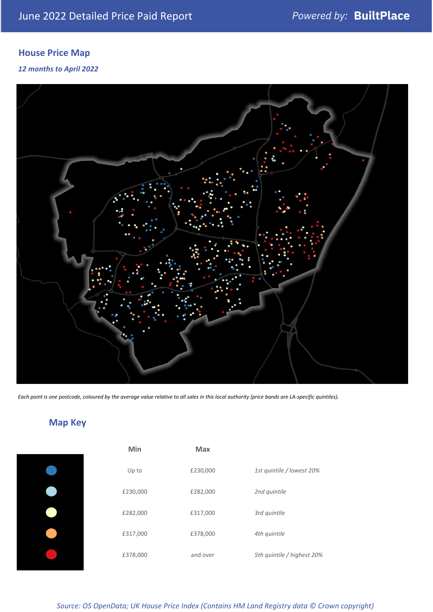# **House Price Map**

*12 months to April 2022*



*Each point is one postcode, coloured by the average value relative to all sales in this local authority (price bands are LA-specific quintiles).*

**Map Key**

| Min      | <b>Max</b> |                            |
|----------|------------|----------------------------|
| Up to    | £230,000   | 1st quintile / lowest 20%  |
| £230,000 | £282,000   | 2nd quintile               |
| £282,000 | £317,000   | 3rd quintile               |
| £317,000 | £378,000   | 4th quintile               |
| £378,000 | and over   | 5th quintile / highest 20% |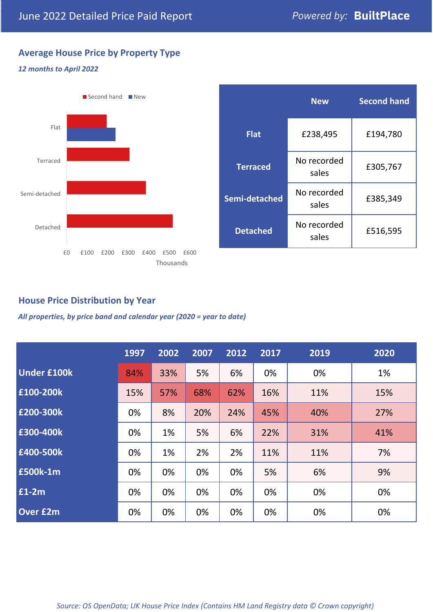# **Average House Price by Property Type**

#### *12 months to April 2022*



|                 | <b>New</b>           | <b>Second hand</b> |  |
|-----------------|----------------------|--------------------|--|
| <b>Flat</b>     | £238,495             | £194,780           |  |
| <b>Terraced</b> | No recorded<br>sales | £305,767           |  |
| Semi-detached   | No recorded<br>sales | £385,349           |  |
| <b>Detached</b> | No recorded<br>sales | £516,595           |  |

# **House Price Distribution by Year**

*All properties, by price band and calendar year (2020 = year to date)*

|                    | 1997 | 2002 | 2007 | 2012 | 2017 | 2019 | 2020 |
|--------------------|------|------|------|------|------|------|------|
| <b>Under £100k</b> | 84%  | 33%  | 5%   | 6%   | 0%   | 0%   | 1%   |
| £100-200k          | 15%  | 57%  | 68%  | 62%  | 16%  | 11%  | 15%  |
| E200-300k          | 0%   | 8%   | 20%  | 24%  | 45%  | 40%  | 27%  |
| £300-400k          | 0%   | 1%   | 5%   | 6%   | 22%  | 31%  | 41%  |
| £400-500k          | 0%   | 1%   | 2%   | 2%   | 11%  | 11%  | 7%   |
| <b>£500k-1m</b>    | 0%   | 0%   | 0%   | 0%   | 5%   | 6%   | 9%   |
| £1-2m              | 0%   | 0%   | 0%   | 0%   | 0%   | 0%   | 0%   |
| <b>Over £2m</b>    | 0%   | 0%   | 0%   | 0%   | 0%   | 0%   | 0%   |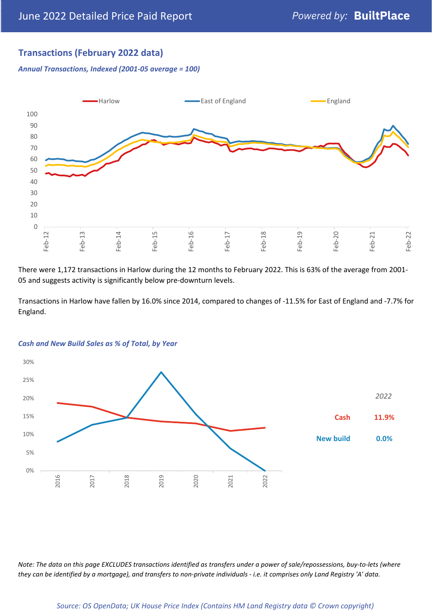# **Transactions (February 2022 data)**

*Annual Transactions, Indexed (2001-05 average = 100)*



There were 1,172 transactions in Harlow during the 12 months to February 2022. This is 63% of the average from 2001- 05 and suggests activity is significantly below pre-downturn levels.

Transactions in Harlow have fallen by 16.0% since 2014, compared to changes of -11.5% for East of England and -7.7% for England.



#### *Cash and New Build Sales as % of Total, by Year*

*Note: The data on this page EXCLUDES transactions identified as transfers under a power of sale/repossessions, buy-to-lets (where they can be identified by a mortgage), and transfers to non-private individuals - i.e. it comprises only Land Registry 'A' data.*